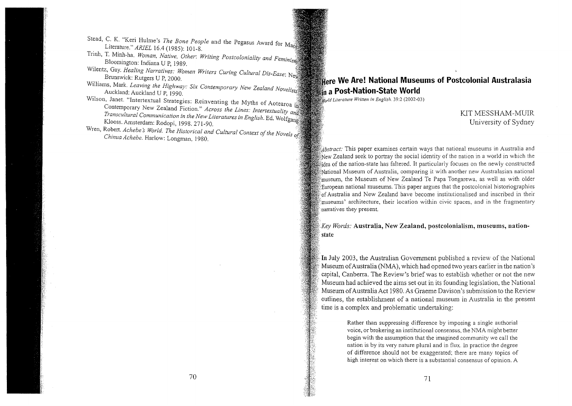- Stead, C. K. "Keri Hulme's *The Bone People* and the Pegasus Award for Maon . Literature." *ARJEL* 16.4 (1985): 101-8.
- Trinh, T. Minh-ha. *Woman, Native, Other: Writing Postcoloniality and Feminisma* Bloomington: Indiana U P, 1989.
- Wilentz, Gay. *Healing Narratives: Women Writers Curing Cultural Dis-Ease·*  Brunswick: Rutgers U P, 2000.
- Williams, Mark. *Leaving the Highway: Six Contemporary New Zealand Novelists* Auckland: Auckland U P, 1990.
- Wilson, Janet. "Intertextual Strategies: Reinventing the Myths of Aotearoa Contemporary New Zealand Fiction." *Across the Lines: Intertextuality and 11 Transcultural Communication in the New Literatures in English.* Ed. Wolfgang Klooss. Amsterdam: Rodopi, 1998. 271-90.
- Wren, Robert. *Achebe's World. The Historical and Cultural Context of the Novels of Chmua Achebe.* Harlow: Longman, 1980.

## **We Are! National Museums of Postcolonial Australasia a Post-Nation-State World**

*Lilerature Written in English.* 39:2 (2002-03)

## KIT MESSHAM-MUIR University of Sydney

 $M<sub>b</sub>$ stract: This paper examines certain ways that national museums in Australia and  $\mathbb{Z}_{\geq 0}$  Xew Zealand seek to portray the social identity of the nation in a world in which the idea of the nation-state has faltered. It particularly focuses on the newly constructed Museum of Australia, comparing it with another new Australasian national  $\epsilon$  museum, the Museum of New Zealand Te Papa Tongarewa, as well as with older  $E$ uropean national museums. This paper argues that the postcolonial historiographies  $\epsilon$  of Australia and New Zealand have become institutionalised and inscribed in their  $\ell$  museums' architecture, their location within civic spaces, and in the fragmentary marratives they present.

*Key Words:* **Australia, New Zealand, postcolonialism, museums, nation-** .· **state** 

· **In** July 2003, the Australian Government published a review of the National Museum of Australia (NMA), which had opened two years earlier in the nation's capital, Canberra. The Review's brief was to establish whether or not the new . Museum had achieved the aims set out in its founding legislation, the National Museum of Australia Act 1980. As Graeme Davison's submission to the Review outlines, the establishment of a national museum in Australia in the present time is a complex and problematic undertaking:

> Rather than suppressing difference by imposing a single authorial voice, or brokering an institutional consensus, the NMA might better begin with the assumption that the imagined community we call the nation is by its very nature plural and in flux. In practice the degree of difference should not be exaggerated; there are many topics of high interest on which there is a substantial consensus of opinion. A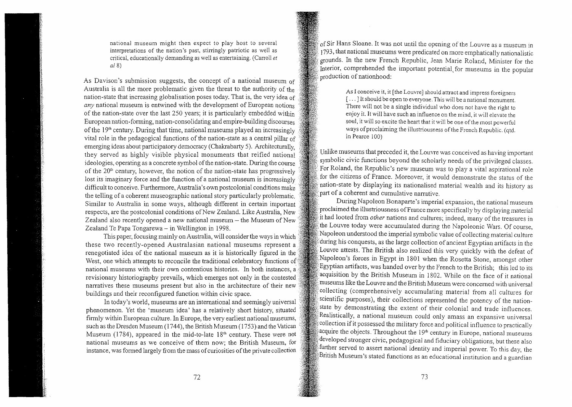national museum might then expect to play host to several interpretations of the nation's past, stirringly patriotic as well as critical, educationally demanding as well as entertaining. (Carroll *et a!* 8)

As Davison's submission suggests, the concept of a national museum of Australia is all the more problematic given the threat to the authority of the nation-state that increasing globalisation poses today. That is, the very idea of *any* national museum is entwined with the development of European notions of the nation-state over the last 250 years; it is particularly embedded within European nation-forming, nation-consolidating and empire-building discourses of the  $19<sup>th</sup>$  century. During that time, national museums played an increasingly vital role in the pedagogical functions of the nation-state as a central pillar of emerging ideas about participatory democracy (Chakrabarty 5). Architecturally, they served as highly visible physical monuments that reified national ideologies, operating as a concrete symbol of the nation-state. During the course of the  $20<sup>th</sup>$  century, however, the notion of the nation-state has progressively lost its imaginary force and the function of a national museum is increasingly difficult to conceive. Furthermore, Australia's own postcolonial conditions make the telling of a coherent museographic national story particularly problematic. Similar to Australia in some ways, although different in certain important respects, are the postcolonial conditions of New Zealand. Like Australia, New Zealand also recently opened a new national museum- the Museum of New Zealand Te Papa Tongarewa- in Wellington in 1998.

This paper, focusing mainly on Australia, will consider the ways in which these two recently-opened Australasian national museums represent a renegotiated idea of the national museum as it is historically figured in the West, one which attempts to reconcile the traditional celebratory functions of national museums with their own contentious histories. In both instances, a revisionary historiography prevails, which emerges not only in the contested narratives these museums present but also in the architecture of their new buildings and their reconfigured function within civic space.

In today's world, museums are an international and seemingly universal phenomenon. Yet the 'museum idea' has a relatively short history, situated firmly within European culture. In Europe, the very earliest national museums, such as the Dresden Museum (1744), the British Museum (1753) and the Vatican Museum (1784), appeared in the mid-to-late l8'h century. These were not national museums as we conceive of them now; the British Museum, for instance, was formed largely from the mass of curiosities of the private collection

of Sir Hans Sloane. It was not until the opening of the Louvre as a museum in 1793, that national museums were predicated on more emphatically nationalistic grounds. In the new French Republic, Jean Marie Roland, Minister for the Interior, comprehended the important potential, for museums in the popular production of nationhood:

> As I conceive it, it (the Louvre] should attract and impress foreigners [ ... ]It should be open to everyone. This will be a national monument. There will not be a single individual who does not have the right to enjoy it. It will have such an influence on the mind, it will elevate the soul, it will so excite the heart that it will be one of the most powerful ways of proclaiming the illustriousness of the French Republic. (qtd. in Pearce 100)

Unlike museums that preceded it, the Louvre was conceived as having important symbolic civic functions beyond the scholarly needs of the privileged classes. · For Roland, the Republic's new museum was to play a vital aspirational role . for the citizens of France. Moreover, it would demonstrate the status of the nation-state by displaying its nationalised material wealth and its history as part of a coherent and cumulative narrative.

During Napoleon Bonaparte's imperial expansion, the national museum proclaimed the illustriousness of France more specifically by displaying material had looted from *other* nations and cultures; indeed, many of the treasures in the Louvre today were accumulated during the Napoleonic Wars. Of course, Napoleon understood the imperial symbolic value of collecting material culture  $\,$  during his conquests, as the large collection of ancient Egyptian artifacts in the . Louvre attests. The British also realized this very quickly with the defeat of Napoleon's forces in Egypt in 1801 when the Rosetta Stone, amongst other  $\hat{\mathbb{E}}$ Egyptian artifacts, was handed over by the French to the British; this led to its  $\mathbb{R}$  acquisition by the British Museum in 1802. While on the face of it national . museums like the Louvre and the British Museum were concerned with universal collecting (comprehensively accumulating material from all cultures for . scientific purposes), their collections represented the potency of the nationstate by demonstrating the extent of their colonial and trade influences.  $\mathbb{\tilde{P}}$ Realistically, a national museum could only amass an expansive universal  $\epsilon$  collection if it possessed the military force and political influence to practically acquire the objects. Throughout the  $19<sup>th</sup>$  century in Europe, national museums  $\ddot{\beta}$  developed stronger civic, pedagogical and fiduciary obligations, but these also further served to assert national identity and imperial power. To this day, the British Museum's stated functions as an educational institution and a guardian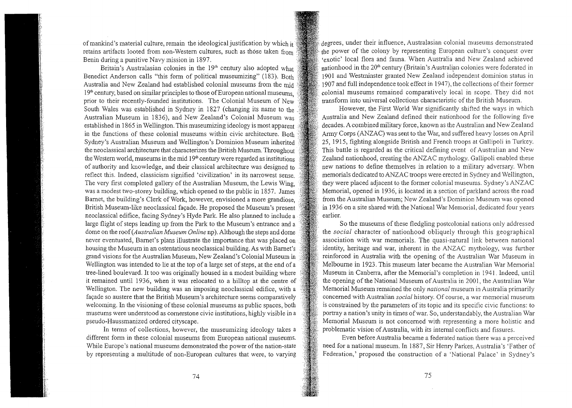of mankind's material culture, remain the ideological justification by which it retains artifacts looted from non-Western cultures, such as those taken from Benin during a punitive Navy mission in 1897.

Britain's Australasian colonies in the 19<sup>th</sup> century also adopted what Benedict Anderson calls "this form of political museumizing" (183). Both Australia and New Zealand had established colonial museums from the mid .  $19<sup>th</sup>$  century, based on similar principles to those of European national museums prior to their recently-founded institutions. The Colonial Museum of New South Wales was established in Sydney in 1827 (changing its name to the Australian Museum in 1836), and New Zealand's Colonial Museum was established in 1865 in Wellington. This museumizing ideology is most apparent in the functions of these colonial museums within civic architecture. Both Sydney's Australian Museum and Wellington's Dominion Museum inherited the neoclassical architecture that characterizes the British Museum. Throughout the Western world, museums in the mid  $19<sup>th</sup>$  century were regarded as institutions of authority and knowledge, and their classical architecture was designed to reflect this. Indeed, classicism signified 'civilization' in its narrowest sense. The very first completed gallery of the Australian Museum, the Lewis Wing, was a modest two-storey building, which opened to the public in 1857. James Barnet, the building's Clerk of Work, however, envisioned a more grandiose, British Museum-like neoclassical facade. He proposed the Museum's present neoclassical edifice, facing Sydney's Hyde Park. He also planned to include a large flight of steps leading up from the Park to the Museum's entrance and a dome on the roof *(Australian Museum Online* np ). Although the steps and dome never eventuated, Barnet's plans illustrate the importance that was placed on housing the Museum in an ostentatious neoclassical building. As with Barnet's grand visions for the Australian Museum, New Zealand's Colonial Museum in Wellington was intended to lie at the top of a large set of steps, at the end of a tree-lined boulevard. It too was originally housed in a modest building where it remained until 1936, when it was relocated to a hilltop at the centre of Wellington. The new building was an imposing neoclassical edifice, with a façade so austere that the British Museum's architecture seems comparatively welcoming. In the visioning of these colonial museums as public spaces, both museums were understood as cornerstone civic institutions, highly visible in a pseudo-Haussmanized ordered cityscape.

In terms of collections, however, the museumizing ideology takes a different form in these colonial museums from European national museums. While Europe's national museums demonstrated the power of the nation-state by representing a multitude of non-European cultures that were, to varying . degrees, under their influence, Australasian colonial museums demonstrated the power of the colony by representing European culture's conquest over 'exotic' local flora and fauna. When Australia and New Zealand achieved nationhood in the  $20<sup>th</sup>$  century (Britain's Australian colonies were federated in 1901 and Westminster granted New Zealand independent dominion status in 1907 and full independence took effect in 1947), the collections of their former colonial museums remained comparatively local in scope. They did not transform into universal collections characteristic of the British Museum.

However, the First World War significantly shifted the ways in which Australia and New Zealand defined their nationhood for the following five decades. A combined military force, known as the Australian and New Zealand Army Corps (ANZAC) was sent to the War, and suffered heavy losses on April 25, 1915, fighting alongside British and French troops at Gallipoli in Turkey. This battle is regarded as the critical defining event of Australian and New Zealand nationhood, creating the ANZAC mythology. Gallipoli enabled these new nations to define themselves in relation to a military adversary. When memorials dedicated to ANZAC troops were erected in Sydney and Wellington, they were placed adjacent to the former colonial museums. Sydney's ANZAC Memorial, opened in 1936, is located in a section of parkland across the road from the Australian Museum; New Zealand's Dominion Museum was opened in 1936 on a site shared with the National War Memorial, dedicated four years earlier.

So the museums of these fledgling postcolonial nations only addressed the *social* character of nationhood obliquely through this geographical association with war memorials. The quasi-natural link between national identity, heritage and war, inherent in the ANZAC mythology, was further reinforced in Australia with the opening of the Australian War Museum in Melbourne in 1923. This museum later became the Australian War Memorial Museum in Canberra, after the Memorial's completion in 1941. Indeed, until the opening of the National Museum of Australia in 2001, the Australian War Memorial Museum remained the only *national* museum in Australia primarily concerned with Australian *social* history. Of course, a war memorial museum is constrained by the parameters of its topic and its specific civic functions: to portray a nation's unity in times of war. So, understandably, the Australian War Memorial Museum is not concerned with representing a more holistic and problematic vision of Australia, with its internal conflicts and fissures.

Even before Australia became a federated nation there was a perceived need for a national museum. In 1887, Sir Henry Parkes, Australia's 'Father of Federation,' proposed the construction of a 'National Palace' in Sydney's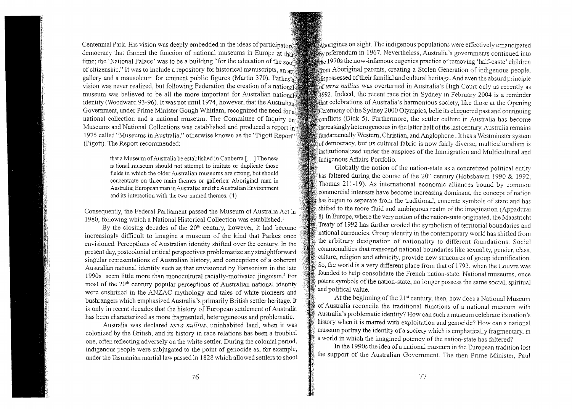Centennial Park. His vision was deeply embedded in the ideas of participators democracy that framed the function of national museums in Europe at that time; the 'National Palace' was to be a building "for the education of the sout of citizenship." It was to include a repository for historical manuscripts, an  $n<sup>3</sup>$ gallery and a mausoleum for eminent public figures (Martin 370). Parkes's vision was never realized, but following Federation the creation of a national museum was believed to be all the more important for Australian national identity (Woodward 93-96). It was not until 1974, however, that the Australian Government, under Prime Minister Gough Whitlam, recognized the need for  $\frac{1}{2}$ national collection and a national museum. The Committee of Inquiry  $_{0n}$ Museums and National Collections was established and produced a report in 1975 called "Museums in Australia," otherwise known as the "Pigott Report" (Pigott). The Report recommended:

> that a Museum of Australia be established in Canberra [ ... ] The new national museum should not attempt to imitate or duplicate those fields in which the older Australian museums are strong, but should concentrate on three main themes or galleries: Aboriginal man in Australia; European man in Australia; and the Australian Environment and its interaction with the two-named themes. ( 4)

Consequently, the Federal Parliament passed the Museum of Australia Act in 1980, following which a National Historical Collection was established.'

By the closing decades of the 20<sup>th</sup> century, however, it had become increasingly difficult to imagine a museum of the kind that Parkes once envisioned. Perceptions of Australian identity shifted over the century. In the present day, postcolonial critical perspectives problematize any straightforward singular representations of Australian history, and conceptions of a coherent Australian national identity such as that envisioned by Hansonism in the late 1990s seem little more than monocultural racially-motivated jingoism.2 For most of the 20'h century popular perceptions of Australian national identity were enshrined in the ANZAC mythology and tales of white pioneers and bushrangers which emphasized Australia's primarily British settler heritage. It is only in recent decades that the history of European settlement of Australia has been characterized as more fragmented, heterogeneous and problematic.

Australia was declared *terra nullius,* uninhabited land, when it was colonized by the British, and its history in race relations has been a troubled one, often reflecting adversely on the white settler. During the colonial period, indigenous people were subjugated to the point of genocide as, for example, under the Tasmanian martial law passed in 1828 which allowed settlers to shoot

 $\mathbb{R}$  horigines on sight. The indigenous populations were effectively emancipated  $\frac{1}{2}$  referendum in 1967. Nevertheless, Australia's governments continued into  $\epsilon$  1970s the now-infamous eugenics practice of removing 'half-caste' children Aboriginal parents, creating a Stolen Generation of indigenous people,  $\mathbb{S}_{\text{disposs}}$  is also of their familial and cultural heritage. And even the absurd principle *terra nullius* was overturned in Australia's High Court only as recently as 1992. Indeed, the recent race riot in Sydney in February 2004 is a reminder celebrations of Australia's harmonious society, like those at the Opening Ceremony of the Sydney 2000 Olympics, belie its chequered past and continuing  $\epsilon$  conflicts (Dick 5). Furthermore, the settler culture in Australia has become  $\hat{z}_{\text{increasing}}$ ly heterogeneous in the latter half of the last century. Australia remains  $\mathbb{\hat{E}}$ fundamentally Western, Christian, and Anglophone . It has a Westminster system of democracy, but its cultural fabric is now fairly diverse; multiculturalism is institutionalized under the auspices of the Immigration and Multicultural and Indigenous Affairs Portfolio.

Globally the notion of the nation-state as a concretized political entity has faltered during the course of the 20<sup>th</sup> century (Hobsbawm 1990 & 1992; Thomas 211-19). As international economic alliances bound by common commercial interests have become increasing dominant, the concept of nation has begun to separate from the traditional, concrete symbols of state and has shifted to the more fluid and ambiguous realm of the imagination (Appadurai 8). In Europe, where the very notion of the nation-state originated, the Maastricht . Treaty of 1992 has further eroded the symbolism of territorial boundaries and national currencies. Group identity in the contemporary world has shifted from the arbitrary designation of nationality to different foundations. Social commonalities that transcend national boundaries like sexuality, gender, class, culture, religion and ethnicity, provide new structures of group identification. So, the world is a very different place from that of 1793, when the Louvre was founded to help consolidate the French nation-state. National museums, once potent symbols of the nation-state, no longer possess the same social, spiritual and political value.

At the beginning of the 21" century, then, how does a National Museum of Australia reconcile the traditional functions of a national museum with · Australia's problematic identity? How can such a museum celebrate its nation's history when it is marred with exploitation and genocide? How can a national museum portray the identity of a society which is emphatically fragmentary, in a world in which the imagined potency of the nation-state has faltered?

In the 1990s the idea of a national museum in the European tradition lost the support of the Australian Government. The then Prime Minister, Paul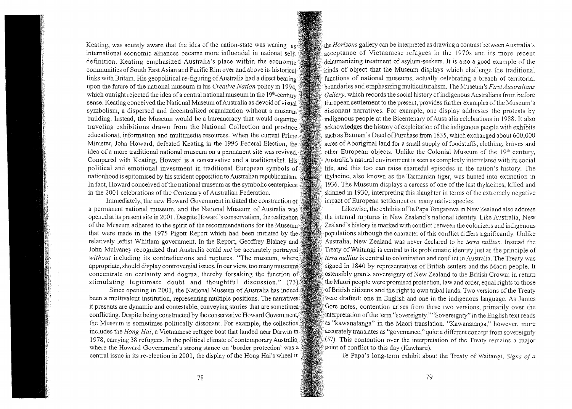Keating, was acutely aware that the idea of the nation-state was waning  $a_8$ . international economic alliances became more influential in national selfdefinition. Keating emphasized Australia's place within the economic communities of South East Asian and Pacific Rim over and above its historical links with Britain. His geopolitical re-figuring of Australia had a direct bearing upon the future of the national museum in his *Creative Nation* policy in 1994 which outright rejected the idea of a central national museum in the  $19<sup>th</sup>$ -century sense. Keating conceived the National Museum of Australia as devoid of visual symbolism, a dispersed and decentralized organization without a museum building. Instead, the Museum would be a bureaucracy that would organize traveling exhibitions drawn from the National Collection and produce educational, information and multimedia resources. When the current Prime Minister, John Howard, defeated Keating in the 1996 Federal Election, the· idea of a more traditional national museum on a permanent site was revived. Compared with Keating, Howard is a conservative and a traditionalist. His· political and emotional investment in traditional European symbols of nationhood is epitomised by his strident opposition to Australian republicanism. In fact, Howard conceived of the national museum as the symbolic centerpiece in the 2001 celebrations of the Centenary of Australian Federation.

Immediately, the new Howard Government initiated the construction of a permanent national museum, and the National Museum of Australia was opened at its present site in 2001. Despite Howard's conservatism, the realization · of the Museum adhered to the spirit of the recommendations for the Museum that were made in the 1975 Pigott Report which had been initiated by the relatively leftist Wbitlam government. In the Report, Geoffrey Blainey and John Mulvaney recognized that Australia could *not* be accurately portrayed· without including its contradictions and ruptures. "The museum, where appropriate, should display controversial issues. In our view, too many museums concentrate on certainty and dogma, thereby forsaking the function of stimulating legitimate doubt and thoughtful discussion."  $(73)$ .

Since opening in 2001, the National Museum of Australia has indeed been a multivalent institution, representing multiple positions. The narratives it presents are dynamic and contestable, conveying stories that are sometimes conflicting. Despite being constructed by the conservative Howard Government, the Museum is sometimes politically dissonant. For example, the collection includes the *Hong Hai*, a Vietnamese refugee boat that landed near Darwin in 1978, carrying 38 refugees. In the political climate of contemporary Australia, · where the Howard Government's strong stance on 'border protection' was a central issue in its re-election in 2001, the display of the Hong Hai's wheel in the *Horizons* gallery can be interpreted as drawing a contrast between Australia's acceptance of Vietnamese refugees in the 1970s and its more recent dehumanizing treatment of asylum-seekers. It is also a good example of the kinds of object that the Museum displays which challenge the traditional · functions of national museums, actually celebrating a breach of territorial boundaries and emphasizing multiculturalism. The Museum's *First Australians Gallery,* which records the social history of indigenous Australians from before European settlement to the present, provides further examples of the Museum's dissonant narratives. For example, one display addresses the protests by indigenous people at the Bicentenary of Australia celebrations in 1988. It also acknowledges the history of exploitation of the indigenous people with exhibits such as Batman's Deed of Purchase from 1835, which exchanged about 600,000 acres of Aboriginal land for a small supply of foodstuffs, clothing, knives and other European objects. Unlike the Colonial Museum of the  $19<sup>th</sup>$  century, Australia's natural environment is seen as complexly interrelated with its social life, and this too can raise shameful episodes in the nation's history. The thylacine, also known as the Tasmanian tiger, was hunted into extinction in 1936. The Museum displays a carcass of one of the last thylacines, killed and skinned in 1930, interpreting this slaughter in terms of the extremely negative impact of European settlement on many native species.

Likewise, the exhibits ofTe Papa Tongarewa in New Zealand also address the internal ruptures in New Zealand's national identity. Like Australia, New Zealand's history is marked with conflict between the colonizers and indigenous populations although the character of this conflict differs significantly. Unlike Australia, New Zealand was never declared to be *terra nullius.* Instead the Treaty ofWaitangi is central to its problematic identity just as the principle of . *terra nullius* is central to colonization and conflict in Australia. The Treaty was signed in 1840 by representatives of British settlers and the Maori people. It ostensibly grants sovereignty of New Zealand to the British Crown; in return . the Maori people were promised protection, law and order, equal rights to those ofBritish citizens and the right to own tribal lands. Two versions of the Treaty were drafted: one in English and one in the indigenous language. As James Gore notes, contention arises from these two versions, primarily over the interpretation of the term "sovereignty." "Sovereignty" in the English text reads as "kawanatanga" in the Maori translation. "Kawanatanga," however, more accurately translates as "governance," quite a different concept from sovereignty · (57). This contention over the interpretation of the Treaty remains a major point of conflict to this day (Kawharu).

Te Papa's long-term exhibit about the Treaty of Waitangi, *Signs of a*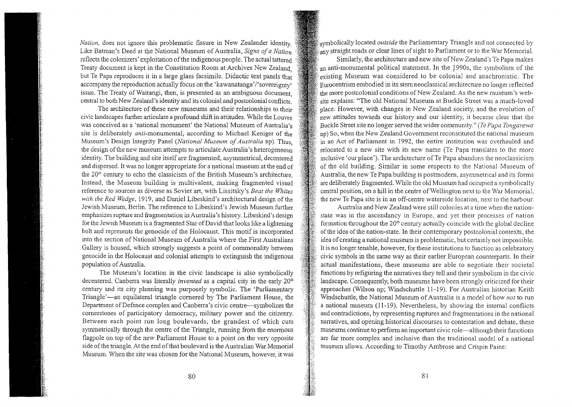*Nation*, does not ignore this problematic fissure in New Zealander identity. Like Batman's Deed at the National Museum of Australia, *Signs of a Nation*  reflects the colonizers' exploitation of the indigenous people. The actual tattered Treaty document is kept in the Constitution Room at Archives New Zealand, but Te Papa reproduces it in a large glass facsimile. Didactic text panels that accompany the reproduction actually focus on the 'kawanatanga'/'sovereignty' issue. The Treaty of Waitangi, then, is presented as an ambiguous document, central to both New Zealand's identity and its colonial and postcolonial conflicts.

The architecture of these new museums and their relationships to their civic landscapes further articulate a profound shift in attitudes. While the Louvre was conceived as a 'national monument' the National Museum of Australia's site is deliberately anti-monumental, according to Michael Keniger of the Museum's Design Integrity Panel *(National Museum of Australia* np). Thus, the design of the new museum attempts to articulate Australia's heterogeneous identity. The building and site itself are fragmented, asymmetrical, decentered and dispersed. It was no longer appropriate for a national museum at the end of the 20'h century to echo the classicism of the British Museum's architecture. Instead, the Museum building is multivalent, making fragmented visual reference to sources as diverse as Soviet art, with Lissitsky's *Beat the Whites with the Red Wedge,* 1919, and Daniel Libeskind's architectural design of the Jewish Museum, Berlin. The reference to Libeskind's Jewish Museum further emphasizes rupture and fragmentation in Australia's history. Libeskind's design for the Jewish Museum is a fragmented Star of David that looks like a lightening bolt and represents the genocide of the Holocaust. This motif is incorporated into the section of National Museum of Australia where the First Australians Gallery is housed, which strongly suggests a point of commonality between genocide in the Holocaust and colonial attempts to extinguish the indigenous population of Australia.

The Museum's location in the civic landscape is also symbolically decentered. Canberra was literally *invented* as a capital city in the early 20<sup>th</sup> century and its city planning was purposely symbolic. The 'Parliamentary Triangle'-an equilateral triangle cornered by The Parliament House, the Department of Defence complex and Canberra's civic centre-symbolizes the cornerstones of participatory democracy, military power and the citizenry. Between each point run long boulevards, the grandest of which cuts symmetrically through the centre of the Triangle, running from the enormous flagpole on top of the new Parliament House to a point on the very opposite side ofthe triangle. At the end of that boulevard is the Australian War Memorial Museum. When the site was chosen for the National Museum, however, it was s<sub>symbolically located *outside* the Parliamentary Triangle and not connected by</sub>  $\epsilon_{\rm env}$  straight roads or clear lines of sight to Parliament or to the War Memorial.

Similarly, the architecture and new site of New Zealand's Te Papa makes an anti-monumental political statement. In the  $1990s$ , the symbolism of the existing Museum was considered to be colonial and anachronistic. The  $\epsilon$  Eurocentrism embodied in its stern neoclassical architecture no longer reflected the more postcolonial conditions of New Zealand. As the new museum's website explains: "The old National Museum at Buckle Street was a much-loved place. However, with changes in New Zealand society, and the evolution of new attitudes towards our history and our identity, it became clear that the .. Buckle Street site no longer served the wider community." *(Te Papa Tongarewa*  np) So, when the New Zealand Government reconstituted the national museum in an Act of Parliament in 1992, the entire institution was overhauled and relocated to a new site with its new name (Te Papa translates to the more inclusive 'our place'). The architecture of Te Papa abandons the neoclassicism of the old building. Similar in some respects to the National Museum of Australia, the new Te Papa building is postmodern, asymmetrical and its forms are deliberately fragmented. While the old Museum had occupied a symbolically central position, on a hill in the centre ofWellington next to the War Memorial, the new Te Papa site is in an off-centre waterside location, next to the harbour.

Australia and New Zealand were still colonies at a time when the nationstate was in the ascendancy in Europe, and yet their processes of nation formation throughout the  $20<sup>th</sup>$  century actually coincide with the global decline of the idea of the nation-state. In their contemporary postcolonial contexts, the idea of creating a national museum is problematic, but certainly not impossible. It is no longer tenable, however, for these institutions to function as celebratory civic symbols in the same way as their earlier European counterparts. In their actual manifestations, these museums are able to negotiate their societal functions by refiguring the narratives they tell and their symbolism in the civic landscape. Consequently, both museums have been strongly criticized for their approaches (Wilson np; Windschuttle 11-19). For Australian historian Keith Windschuttle, the National Museum of Australia is a model of how *not* to run a national museum (11-19). Nevertheless, by showing the internal conflicts and contradictions, by representing ruptures and fragmentations in the national narratives, and opening historical discourses to contestation and debate, these museums continue to perform an important civic role-although their functions are far more complex and inclusive than the traditional model of a national museum allows. According to Timothy Ambrose and Crispin Paine: